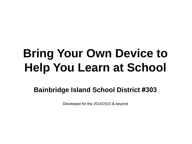# **Bring Your Own Device to Help You Learn at School**

**Bainbridge Island School District #303**

Developed for the 2014/2015 & beyond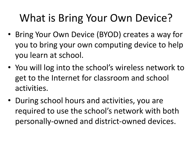### What is Bring Your Own Device?

- Bring Your Own Device (BYOD) creates a way for you to bring your own computing device to help you learn at school.
- You will log into the school's wireless network to get to the Internet for classroom and school activities.
- During school hours and activities, you are required to use the school's network with both personally-owned and district-owned devices.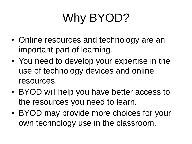# Why BYOD?

- Online resources and technology are an important part of learning.
- You need to develop your expertise in the use of technology devices and online resources.
- BYOD will help you have better access to the resources you need to learn.
- BYOD may provide more choices for your own technology use in the classroom.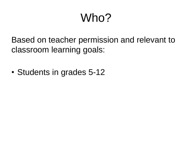# Who?

Based on teacher permission and relevant to classroom learning goals:

• Students in grades 5-12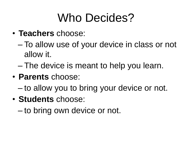# Who Decides?

- **Teachers** choose:
	- To allow use of your device in class or not allow it.
	- The device is meant to help you learn.
- **Parents** choose:
	- to allow you to bring your device or not.
- **Students** choose:
	- to bring own device or not.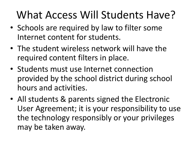### What Access Will Students Have?

- Schools are required by law to filter some Internet content for students.
- The student wireless network will have the required content filters in place.
- Students must use Internet connection provided by the school district during school hours and activities.
- All students & parents signed the Electronic User Agreement; it is your responsibility to use the technology responsibly or your privileges may be taken away.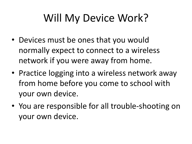### Will My Device Work?

- Devices must be ones that you would normally expect to connect to a wireless network if you were away from home.
- Practice logging into a wireless network away from home before you come to school with your own device.
- You are responsible for all trouble-shooting on your own device.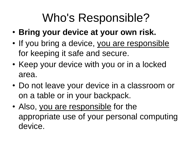# Who's Responsible?

- **Bring your device at your own risk.**
- If you bring a device, you are responsible for keeping it safe and secure.
- Keep your device with you or in a locked area.
- Do not leave your device in a classroom or on a table or in your backpack.
- Also, you are responsible for the appropriate use of your personal computing device.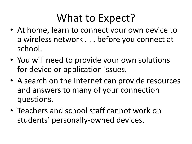#### What to Expect?

- At home, learn to connect your own device to a wireless network . . . before you connect at school.
- You will need to provide your own solutions for device or application issues.
- A search on the Internet can provide resources and answers to many of your connection questions.
- Teachers and school staff cannot work on students' personally-owned devices.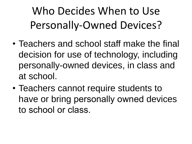Who Decides When to Use Personally-Owned Devices?

- Teachers and school staff make the final decision for use of technology, including personally-owned devices, in class and at school.
- Teachers cannot require students to have or bring personally owned devices to school or class.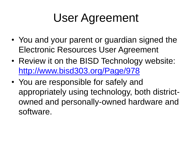# User Agreement

- You and your parent or guardian signed the Electronic Resources User Agreement
- Review it on the BISD Technology website: <http://www.bisd303.org/Page/978>
- You are responsible for safely and appropriately using technology, both districtowned and personally-owned hardware and software.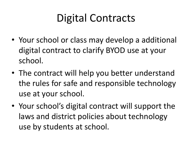#### Digital Contracts

- Your school or class may develop a additional digital contract to clarify BYOD use at your school.
- The contract will help you better understand the rules for safe and responsible technology use at your school.
- Your school's digital contract will support the laws and district policies about technology use by students at school.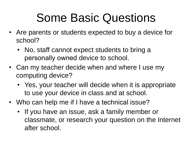### Some Basic Questions

- Are parents or students expected to buy a device for school?
	- No, staff cannot expect students to bring a personally owned device to school.
- Can my teacher decide when and where I use my computing device?
	- Yes, your teacher will decide when it is appropriate to use your device in class and at school.
- Who can help me if I have a technical issue?
	- If you have an issue, ask a family member or classmate, or research your question on the Internet after school.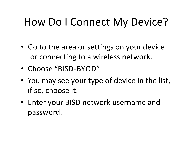#### How Do I Connect My Device?

- Go to the area or settings on your device for connecting to a wireless network.
- Choose "BISD-BYOD"
- You may see your type of device in the list, if so, choose it.
- Enter your BISD network username and password.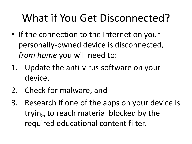### What if You Get Disconnected?

- If the connection to the Internet on your personally-owned device is disconnected, *from home* you will need to:
- 1. Update the anti-virus software on your device,
- 2. Check for malware, and
- 3. Research if one of the apps on your device is trying to reach material blocked by the required educational content filter.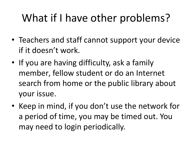### What if I have other problems?

- Teachers and staff cannot support your device if it doesn't work.
- If you are having difficulty, ask a family member, fellow student or do an Internet search from home or the public library about your issue.
- Keep in mind, if you don't use the network for a period of time, you may be timed out. You may need to login periodically.